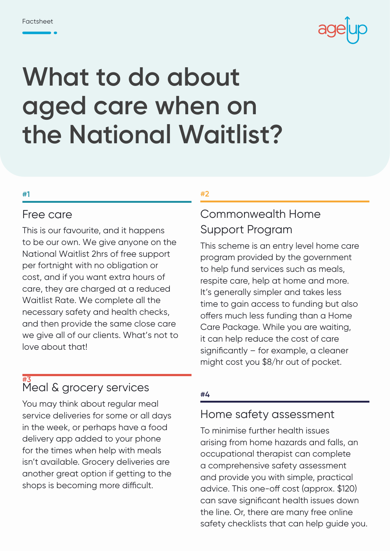

# **What to do about aged care when on the National Waitlist?**

#### **#1**

#### Free care

This is our favourite, and it happens to be our own. We give anyone on the National Waitlist 2hrs of free support per fortnight with no obligation or cost, and if you want extra hours of care, they are charged at a reduced Waitlist Rate. We complete all the necessary safety and health checks, and then provide the same close care we give all of our clients. What's not to love about that!

#### **#3** Meal & grocery services

You may think about regular meal service deliveries for some or all days in the week, or perhaps have a food delivery app added to your phone for the times when help with meals isn't available. Grocery deliveries are another great option if getting to the shops is becoming more difficult.

#### **#2**

### Commonwealth Home Support Program

This scheme is an entry level home care program provided by the government to help fund services such as meals, respite care, help at home and more. It's generally simpler and takes less time to gain access to funding but also offers much less funding than a Home Care Package. While you are waiting, it can help reduce the cost of care significantly – for example, a cleaner might cost you \$8/hr out of pocket.

#### **#4**

#### Home safety assessment

To minimise further health issues arising from home hazards and falls, an occupational therapist can complete a comprehensive safety assessment and provide you with simple, practical advice. This one-off cost (approx. \$120) can save significant health issues down the line. Or, there are many free online safety checklists that can help guide you.